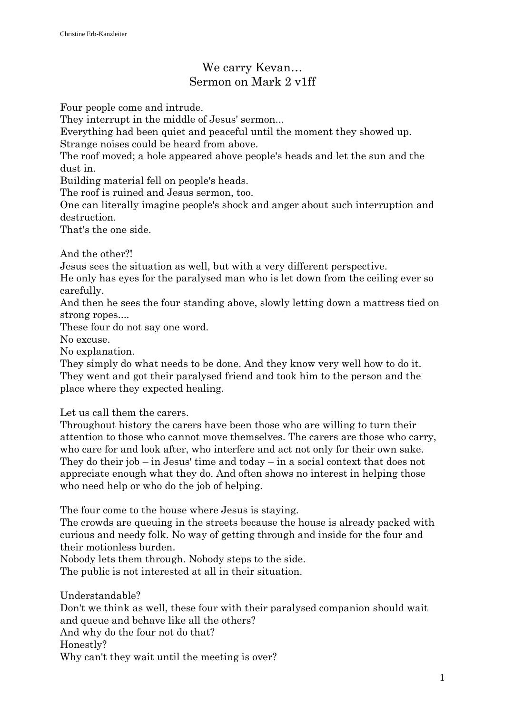## We carry Kevan… Sermon on Mark 2 v1ff

Four people come and intrude.

They interrupt in the middle of Jesus' sermon...

Everything had been quiet and peaceful until the moment they showed up. Strange noises could be heard from above.

The roof moved; a hole appeared above people's heads and let the sun and the dust in.

Building material fell on people's heads.

The roof is ruined and Jesus sermon, too.

One can literally imagine people's shock and anger about such interruption and destruction.

That's the one side.

And the other?!

Jesus sees the situation as well, but with a very different perspective.

He only has eyes for the paralysed man who is let down from the ceiling ever so carefully.

And then he sees the four standing above, slowly letting down a mattress tied on strong ropes....

These four do not say one word.

No excuse.

No explanation.

They simply do what needs to be done. And they know very well how to do it. They went and got their paralysed friend and took him to the person and the place where they expected healing.

Let us call them the carers.

Throughout history the carers have been those who are willing to turn their attention to those who cannot move themselves. The carers are those who carry, who care for and look after, who interfere and act not only for their own sake. They do their job – in Jesus' time and today – in a social context that does not appreciate enough what they do. And often shows no interest in helping those who need help or who do the job of helping.

The four come to the house where Jesus is staying.

The crowds are queuing in the streets because the house is already packed with curious and needy folk. No way of getting through and inside for the four and their motionless burden.

Nobody lets them through. Nobody steps to the side.

The public is not interested at all in their situation.

Understandable? Don't we think as well, these four with their paralysed companion should wait and queue and behave like all the others? And why do the four not do that? Honestly? Why can't they wait until the meeting is over?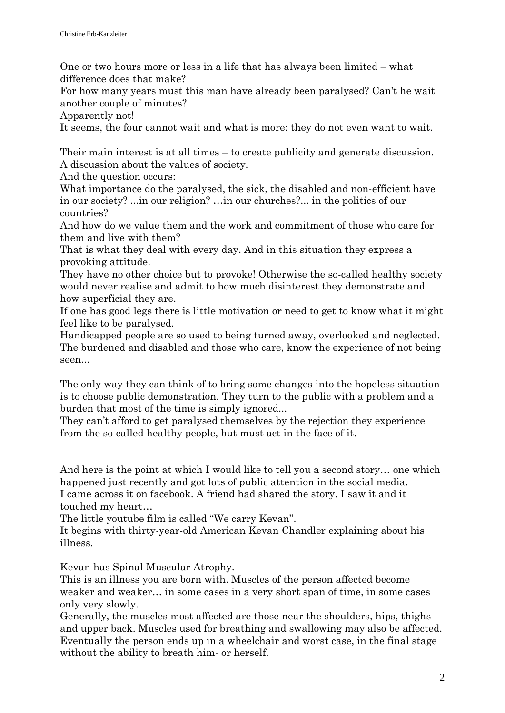One or two hours more or less in a life that has always been limited – what difference does that make?

For how many years must this man have already been paralysed? Can't he wait another couple of minutes?

Apparently not!

It seems, the four cannot wait and what is more: they do not even want to wait.

Their main interest is at all times – to create publicity and generate discussion. A discussion about the values of society.

And the question occurs:

What importance do the paralysed, the sick, the disabled and non-efficient have in our society? ...in our religion? …in our churches?... in the politics of our countries?

And how do we value them and the work and commitment of those who care for them and live with them?

That is what they deal with every day. And in this situation they express a provoking attitude.

They have no other choice but to provoke! Otherwise the so-called healthy society would never realise and admit to how much disinterest they demonstrate and how superficial they are.

If one has good legs there is little motivation or need to get to know what it might feel like to be paralysed.

Handicapped people are so used to being turned away, overlooked and neglected. The burdened and disabled and those who care, know the experience of not being seen...

The only way they can think of to bring some changes into the hopeless situation is to choose public demonstration. They turn to the public with a problem and a burden that most of the time is simply ignored...

They can't afford to get paralysed themselves by the rejection they experience from the so-called healthy people, but must act in the face of it.

And here is the point at which I would like to tell you a second story… one which happened just recently and got lots of public attention in the social media. I came across it on facebook. A friend had shared the story. I saw it and it touched my heart…

The little youtube film is called "We carry Kevan".

It begins with thirty-year-old American Kevan Chandler explaining about his illness.

Kevan has Spinal Muscular Atrophy.

This is an illness you are born with. Muscles of the person affected become weaker and weaker… in some cases in a very short span of time, in some cases only very slowly.

Generally, the muscles most affected are those near the shoulders, hips, thighs and upper back. Muscles used for breathing and swallowing may also be affected. Eventually the person ends up in a wheelchair and worst case, in the final stage without the ability to breath him- or herself.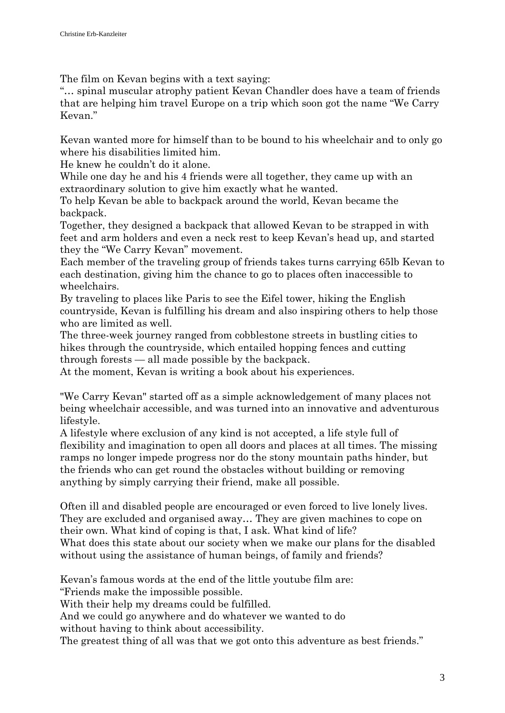The film on Kevan begins with a text saying:

"… spinal muscular atrophy patient Kevan Chandler does have a team of friends that are helping him travel Europe on a trip which soon got the name "We Carry Kevan."

Kevan wanted more for himself than to be bound to his wheelchair and to only go where his disabilities limited him.

He knew he couldn't do it alone.

While one day he and his 4 friends were all together, they came up with an extraordinary solution to give him exactly what he wanted.

To help Kevan be able to backpack around the world, Kevan became the backpack.

Together, they designed a backpack that allowed Kevan to be strapped in with feet and arm holders and even a neck rest to keep Kevan's head up, and started they the "We Carry Kevan" movement.

Each member of the traveling group of friends takes turns carrying 65lb Kevan to each destination, giving him the chance to go to places often inaccessible to wheelchairs.

By traveling to places like Paris to see the Eifel tower, hiking the English countryside, Kevan is fulfilling his dream and also inspiring others to help those who are limited as well.

The three-week journey ranged from cobblestone streets in bustling cities to hikes through the countryside, which entailed hopping fences and cutting through forests — all made possible by the backpack.

At the moment, Kevan is writing a book about his experiences.

"We Carry Kevan" started off as a simple acknowledgement of many places not being wheelchair accessible, and was turned into an innovative and adventurous lifestyle.

A lifestyle where exclusion of any kind is not accepted, a life style full of flexibility and imagination to open all doors and places at all times. The missing ramps no longer impede progress nor do the stony mountain paths hinder, but the friends who can get round the obstacles without building or removing anything by simply carrying their friend, make all possible.

Often ill and disabled people are encouraged or even forced to live lonely lives. They are excluded and organised away… They are given machines to cope on their own. What kind of coping is that, I ask. What kind of life?

What does this state about our society when we make our plans for the disabled without using the assistance of human beings, of family and friends?

Kevan's famous words at the end of the little youtube film are:

"Friends make the impossible possible.

With their help my dreams could be fulfilled.

And we could go anywhere and do whatever we wanted to do

without having to think about accessibility.

The greatest thing of all was that we got onto this adventure as best friends."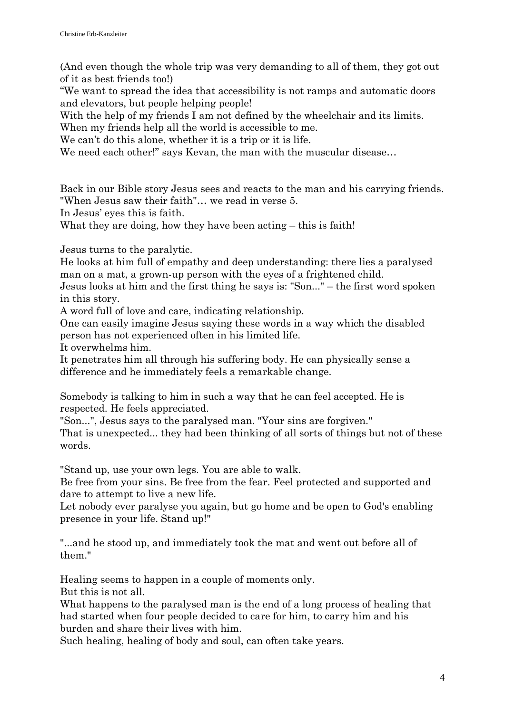(And even though the whole trip was very demanding to all of them, they got out of it as best friends too!)

"We want to spread the idea that accessibility is not ramps and automatic doors and elevators, but people helping people!

With the help of my friends I am not defined by the wheelchair and its limits.

When my friends help all the world is accessible to me.

We can't do this alone, whether it is a trip or it is life.

We need each other!" says Kevan, the man with the muscular disease...

Back in our Bible story Jesus sees and reacts to the man and his carrying friends. "When Jesus saw their faith"… we read in verse 5.

In Jesus' eyes this is faith.

What they are doing, how they have been acting – this is faith!

Jesus turns to the paralytic.

He looks at him full of empathy and deep understanding: there lies a paralysed man on a mat, a grown-up person with the eyes of a frightened child.

Jesus looks at him and the first thing he says is: "Son..." – the first word spoken in this story.

A word full of love and care, indicating relationship.

One can easily imagine Jesus saying these words in a way which the disabled person has not experienced often in his limited life.

It overwhelms him.

It penetrates him all through his suffering body. He can physically sense a difference and he immediately feels a remarkable change.

Somebody is talking to him in such a way that he can feel accepted. He is respected. He feels appreciated.

"Son...", Jesus says to the paralysed man. "Your sins are forgiven."

That is unexpected... they had been thinking of all sorts of things but not of these words.

"Stand up, use your own legs. You are able to walk.

Be free from your sins. Be free from the fear. Feel protected and supported and dare to attempt to live a new life.

Let nobody ever paralyse you again, but go home and be open to God's enabling presence in your life. Stand up!"

"...and he stood up, and immediately took the mat and went out before all of them."

Healing seems to happen in a couple of moments only.

But this is not all.

What happens to the paralysed man is the end of a long process of healing that had started when four people decided to care for him, to carry him and his burden and share their lives with him.

Such healing, healing of body and soul, can often take years.